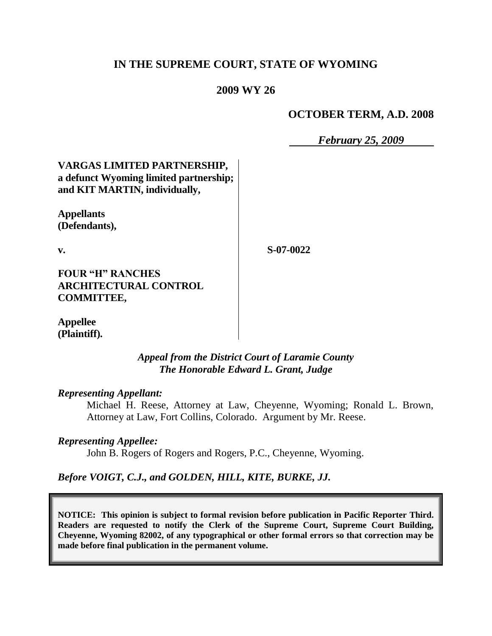## **IN THE SUPREME COURT, STATE OF WYOMING**

### **2009 WY 26**

### **OCTOBER TERM, A.D. 2008**

*February 25, 2009*

## **VARGAS LIMITED PARTNERSHIP, a defunct Wyoming limited partnership; and KIT MARTIN, individually,**

**Appellants (Defendants),**

**v.**

**S-07-0022**

**FOUR "H" RANCHES ARCHITECTURAL CONTROL COMMITTEE,**

**Appellee (Plaintiff).**

## *Appeal from the District Court of Laramie County The Honorable Edward L. Grant, Judge*

#### *Representing Appellant:*

Michael H. Reese, Attorney at Law, Cheyenne, Wyoming; Ronald L. Brown, Attorney at Law, Fort Collins, Colorado. Argument by Mr. Reese.

#### *Representing Appellee:*

John B. Rogers of Rogers and Rogers, P.C., Cheyenne, Wyoming.

### *Before VOIGT, C.J., and GOLDEN, HILL, KITE, BURKE, JJ.*

**NOTICE: This opinion is subject to formal revision before publication in Pacific Reporter Third. Readers are requested to notify the Clerk of the Supreme Court, Supreme Court Building, Cheyenne, Wyoming 82002, of any typographical or other formal errors so that correction may be made before final publication in the permanent volume.**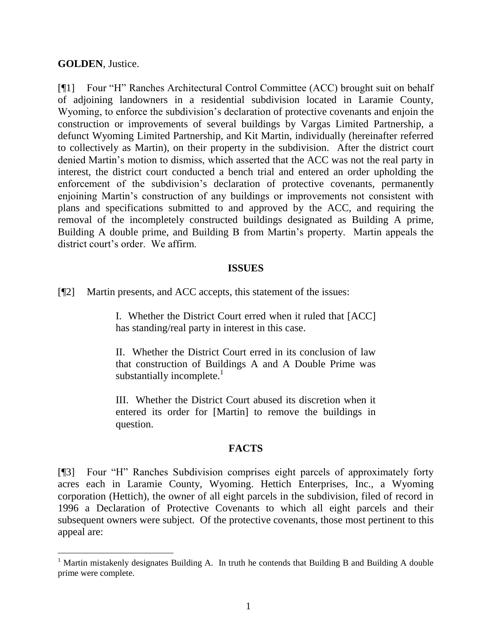#### **GOLDEN**, Justice.

l

[¶1] Four "H" Ranches Architectural Control Committee (ACC) brought suit on behalf of adjoining landowners in a residential subdivision located in Laramie County, Wyoming, to enforce the subdivision"s declaration of protective covenants and enjoin the construction or improvements of several buildings by Vargas Limited Partnership, a defunct Wyoming Limited Partnership, and Kit Martin, individually (hereinafter referred to collectively as Martin), on their property in the subdivision. After the district court denied Martin"s motion to dismiss, which asserted that the ACC was not the real party in interest, the district court conducted a bench trial and entered an order upholding the enforcement of the subdivision's declaration of protective covenants, permanently enjoining Martin's construction of any buildings or improvements not consistent with plans and specifications submitted to and approved by the ACC, and requiring the removal of the incompletely constructed buildings designated as Building A prime, Building A double prime, and Building B from Martin"s property. Martin appeals the district court's order. We affirm.

#### **ISSUES**

[¶2] Martin presents, and ACC accepts, this statement of the issues:

I. Whether the District Court erred when it ruled that [ACC] has standing/real party in interest in this case.

II. Whether the District Court erred in its conclusion of law that construction of Buildings A and A Double Prime was substantially incomplete. $\frac{1}{1}$ 

III. Whether the District Court abused its discretion when it entered its order for [Martin] to remove the buildings in question.

#### **FACTS**

[¶3] Four "H" Ranches Subdivision comprises eight parcels of approximately forty acres each in Laramie County, Wyoming. Hettich Enterprises, Inc., a Wyoming corporation (Hettich), the owner of all eight parcels in the subdivision, filed of record in 1996 a Declaration of Protective Covenants to which all eight parcels and their subsequent owners were subject. Of the protective covenants, those most pertinent to this appeal are:

<sup>&</sup>lt;sup>1</sup> Martin mistakenly designates Building A. In truth he contends that Building B and Building A double prime were complete.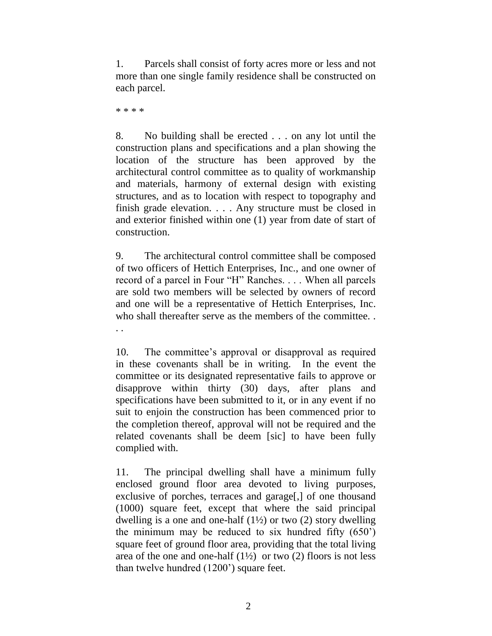1. Parcels shall consist of forty acres more or less and not more than one single family residence shall be constructed on each parcel.

\* \* \* \*

. .

8. No building shall be erected . . . on any lot until the construction plans and specifications and a plan showing the location of the structure has been approved by the architectural control committee as to quality of workmanship and materials, harmony of external design with existing structures, and as to location with respect to topography and finish grade elevation. . . . Any structure must be closed in and exterior finished within one (1) year from date of start of construction.

9. The architectural control committee shall be composed of two officers of Hettich Enterprises, Inc., and one owner of record of a parcel in Four "H" Ranches. . . . When all parcels are sold two members will be selected by owners of record and one will be a representative of Hettich Enterprises, Inc. who shall thereafter serve as the members of the committee.

10. The committee"s approval or disapproval as required in these covenants shall be in writing. In the event the committee or its designated representative fails to approve or disapprove within thirty (30) days, after plans and specifications have been submitted to it, or in any event if no suit to enjoin the construction has been commenced prior to the completion thereof, approval will not be required and the related covenants shall be deem [sic] to have been fully complied with.

11. The principal dwelling shall have a minimum fully enclosed ground floor area devoted to living purposes, exclusive of porches, terraces and garage[,] of one thousand (1000) square feet, except that where the said principal dwelling is a one and one-half  $(1\frac{1}{2})$  or two  $(2)$  story dwelling the minimum may be reduced to six hundred fifty  $(650)$ square feet of ground floor area, providing that the total living area of the one and one-half  $(1\frac{1}{2})$  or two (2) floors is not less than twelve hundred (1200") square feet.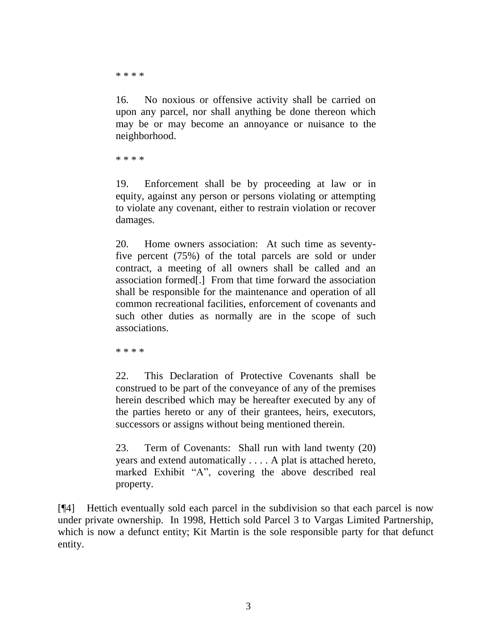\* \* \* \*

16. No noxious or offensive activity shall be carried on upon any parcel, nor shall anything be done thereon which may be or may become an annoyance or nuisance to the neighborhood.

\* \* \* \*

19. Enforcement shall be by proceeding at law or in equity, against any person or persons violating or attempting to violate any covenant, either to restrain violation or recover damages.

20. Home owners association: At such time as seventyfive percent (75%) of the total parcels are sold or under contract, a meeting of all owners shall be called and an association formed[.] From that time forward the association shall be responsible for the maintenance and operation of all common recreational facilities, enforcement of covenants and such other duties as normally are in the scope of such associations.

\* \* \* \*

22. This Declaration of Protective Covenants shall be construed to be part of the conveyance of any of the premises herein described which may be hereafter executed by any of the parties hereto or any of their grantees, heirs, executors, successors or assigns without being mentioned therein.

23. Term of Covenants: Shall run with land twenty (20) years and extend automatically . . . . A plat is attached hereto, marked Exhibit "A", covering the above described real property.

[¶4] Hettich eventually sold each parcel in the subdivision so that each parcel is now under private ownership. In 1998, Hettich sold Parcel 3 to Vargas Limited Partnership, which is now a defunct entity; Kit Martin is the sole responsible party for that defunct entity.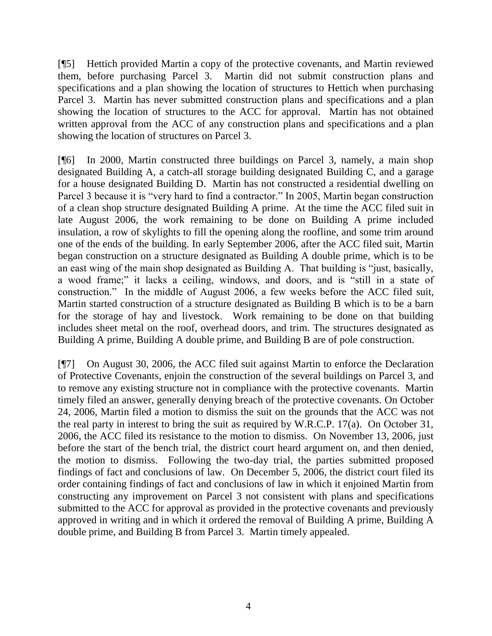[¶5] Hettich provided Martin a copy of the protective covenants, and Martin reviewed them, before purchasing Parcel 3. Martin did not submit construction plans and specifications and a plan showing the location of structures to Hettich when purchasing Parcel 3. Martin has never submitted construction plans and specifications and a plan showing the location of structures to the ACC for approval. Martin has not obtained written approval from the ACC of any construction plans and specifications and a plan showing the location of structures on Parcel 3.

[¶6] In 2000, Martin constructed three buildings on Parcel 3, namely, a main shop designated Building A, a catch-all storage building designated Building C, and a garage for a house designated Building D. Martin has not constructed a residential dwelling on Parcel 3 because it is "very hard to find a contractor." In 2005, Martin began construction of a clean shop structure designated Building A prime. At the time the ACC filed suit in late August 2006, the work remaining to be done on Building A prime included insulation, a row of skylights to fill the opening along the roofline, and some trim around one of the ends of the building. In early September 2006, after the ACC filed suit, Martin began construction on a structure designated as Building A double prime, which is to be an east wing of the main shop designated as Building A. That building is "just, basically, a wood frame;" it lacks a ceiling, windows, and doors, and is "still in a state of construction." In the middle of August 2006, a few weeks before the ACC filed suit, Martin started construction of a structure designated as Building B which is to be a barn for the storage of hay and livestock. Work remaining to be done on that building includes sheet metal on the roof, overhead doors, and trim. The structures designated as Building A prime, Building A double prime, and Building B are of pole construction.

[¶7] On August 30, 2006, the ACC filed suit against Martin to enforce the Declaration of Protective Covenants, enjoin the construction of the several buildings on Parcel 3, and to remove any existing structure not in compliance with the protective covenants. Martin timely filed an answer, generally denying breach of the protective covenants. On October 24, 2006, Martin filed a motion to dismiss the suit on the grounds that the ACC was not the real party in interest to bring the suit as required by W.R.C.P. 17(a). On October 31, 2006, the ACC filed its resistance to the motion to dismiss. On November 13, 2006, just before the start of the bench trial, the district court heard argument on, and then denied, the motion to dismiss. Following the two-day trial, the parties submitted proposed findings of fact and conclusions of law. On December 5, 2006, the district court filed its order containing findings of fact and conclusions of law in which it enjoined Martin from constructing any improvement on Parcel 3 not consistent with plans and specifications submitted to the ACC for approval as provided in the protective covenants and previously approved in writing and in which it ordered the removal of Building A prime, Building A double prime, and Building B from Parcel 3. Martin timely appealed.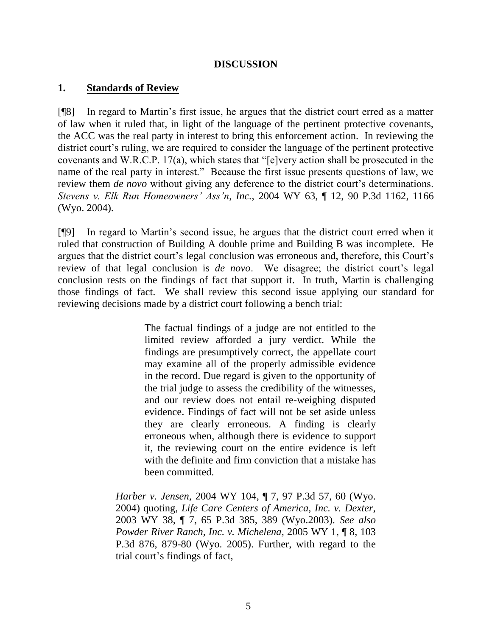### **DISCUSSION**

### **1. Standards of Review**

[¶8] In regard to Martin"s first issue, he argues that the district court erred as a matter of law when it ruled that, in light of the language of the pertinent protective covenants, the ACC was the real party in interest to bring this enforcement action. In reviewing the district court's ruling, we are required to consider the language of the pertinent protective covenants and W.R.C.P. 17(a), which states that "[e]very action shall be prosecuted in the name of the real party in interest." Because the first issue presents questions of law, we review them *de novo* without giving any deference to the district court's determinations. *Stevens v. Elk Run Homeowners' Ass'n*, *Inc.*, 2004 WY 63, ¶ 12, 90 P.3d 1162, 1166 (Wyo. 2004).

[¶9] In regard to Martin"s second issue, he argues that the district court erred when it ruled that construction of Building A double prime and Building B was incomplete. He argues that the district court's legal conclusion was erroneous and, therefore, this Court's review of that legal conclusion is *de novo*. We disagree; the district court's legal conclusion rests on the findings of fact that support it. In truth, Martin is challenging those findings of fact. We shall review this second issue applying our standard for reviewing decisions made by a district court following a bench trial:

> The factual findings of a judge are not entitled to the limited review afforded a jury verdict. While the findings are presumptively correct, the appellate court may examine all of the properly admissible evidence in the record. Due regard is given to the opportunity of the trial judge to assess the credibility of the witnesses, and our review does not entail re-weighing disputed evidence. Findings of fact will not be set aside unless they are clearly erroneous. A finding is clearly erroneous when, although there is evidence to support it, the reviewing court on the entire evidence is left with the definite and firm conviction that a mistake has been committed.

*Harber v. Jensen,* 2004 WY 104, ¶ 7, 97 P.3d 57, 60 (Wyo. 2004) quoting, *Life Care Centers of America, Inc. v. Dexter,* 2003 WY 38, ¶ 7, 65 P.3d 385, 389 (Wyo.2003). *See also Powder River Ranch, Inc. v. Michelena,* 2005 WY 1, ¶ 8, 103 P.3d 876, 879-80 (Wyo. 2005). Further, with regard to the trial court"s findings of fact,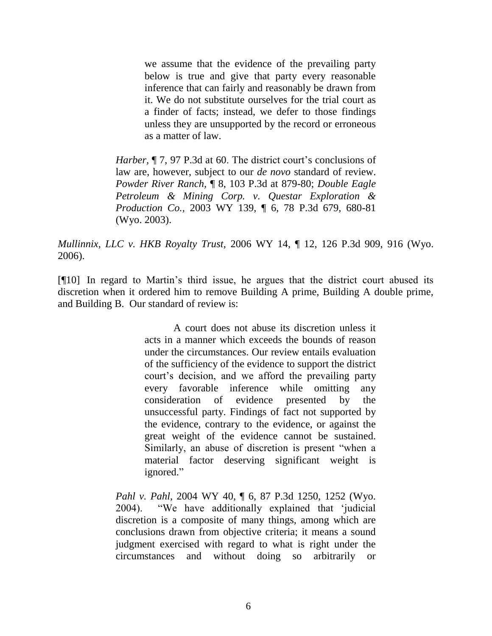we assume that the evidence of the prevailing party below is true and give that party every reasonable inference that can fairly and reasonably be drawn from it. We do not substitute ourselves for the trial court as a finder of facts; instead, we defer to those findings unless they are unsupported by the record or erroneous as a matter of law.

*Harber,* ¶ 7, 97 P.3d at 60. The district court's conclusions of law are, however, subject to our *de novo* standard of review. *Powder River Ranch,* ¶ 8, 103 P.3d at 879-80; *Double Eagle Petroleum & Mining Corp. v. Questar Exploration & Production Co.,* 2003 WY 139, ¶ 6, 78 P.3d 679, 680-81 (Wyo. 2003).

*Mullinnix, LLC v. HKB Royalty Trust,* 2006 WY 14, ¶ 12, 126 P.3d 909, 916 (Wyo. 2006).

[¶10] In regard to Martin"s third issue, he argues that the district court abused its discretion when it ordered him to remove Building A prime, Building A double prime, and Building B. Our standard of review is:

> A court does not abuse its discretion unless it acts in a manner which exceeds the bounds of reason under the circumstances. Our review entails evaluation of the sufficiency of the evidence to support the district court"s decision, and we afford the prevailing party every favorable inference while omitting any consideration of evidence presented by the unsuccessful party. Findings of fact not supported by the evidence, contrary to the evidence, or against the great weight of the evidence cannot be sustained. Similarly, an abuse of discretion is present "when a material factor deserving significant weight is ignored."

*Pahl v. Pahl*, 2004 WY 40, ¶ 6, 87 P.3d 1250, 1252 (Wyo. 2004). "We have additionally explained that "judicial discretion is a composite of many things, among which are conclusions drawn from objective criteria; it means a sound judgment exercised with regard to what is right under the circumstances and without doing so arbitrarily or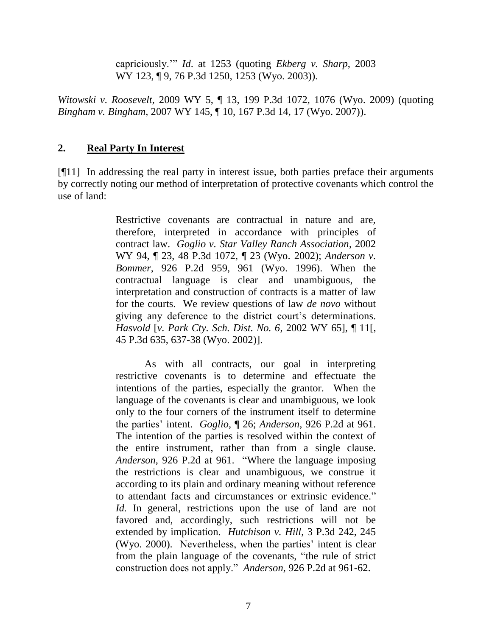capriciously."" *Id*. at 1253 (quoting *Ekberg v. Sharp*, 2003 WY 123, ¶ 9, 76 P.3d 1250, 1253 (Wyo. 2003)).

*Witowski v. Roosevelt*, 2009 WY 5, ¶ 13, 199 P.3d 1072, 1076 (Wyo. 2009) (quoting *Bingham v. Bingham*, 2007 WY 145, ¶ 10, 167 P.3d 14, 17 (Wyo. 2007)).

### **2. Real Party In Interest**

[¶11] In addressing the real party in interest issue, both parties preface their arguments by correctly noting our method of interpretation of protective covenants which control the use of land:

> Restrictive covenants are contractual in nature and are, therefore, interpreted in accordance with principles of contract law. *Goglio v. Star Valley Ranch Association*, 2002 WY 94, ¶ 23, 48 P.3d 1072, ¶ 23 (Wyo. 2002); *Anderson v. Bommer*, 926 P.2d 959, 961 (Wyo. 1996). When the contractual language is clear and unambiguous, the interpretation and construction of contracts is a matter of law for the courts. We review questions of law *de novo* without giving any deference to the district court's determinations. *Hasvold* [*v. Park Cty. Sch. Dist. No. 6*, 2002 WY 65], ¶ 11[, 45 P.3d 635, 637-38 (Wyo. 2002)].

> As with all contracts, our goal in interpreting restrictive covenants is to determine and effectuate the intentions of the parties, especially the grantor. When the language of the covenants is clear and unambiguous, we look only to the four corners of the instrument itself to determine the parties" intent. *Goglio*, ¶ 26; *Anderson*, 926 P.2d at 961. The intention of the parties is resolved within the context of the entire instrument, rather than from a single clause. *Anderson*, 926 P.2d at 961. "Where the language imposing the restrictions is clear and unambiguous, we construe it according to its plain and ordinary meaning without reference to attendant facts and circumstances or extrinsic evidence." *Id.* In general, restrictions upon the use of land are not favored and, accordingly, such restrictions will not be extended by implication. *Hutchison v. Hill*, 3 P.3d 242, 245 (Wyo. 2000). Nevertheless, when the parties' intent is clear from the plain language of the covenants, "the rule of strict construction does not apply." *Anderson*, 926 P.2d at 961-62.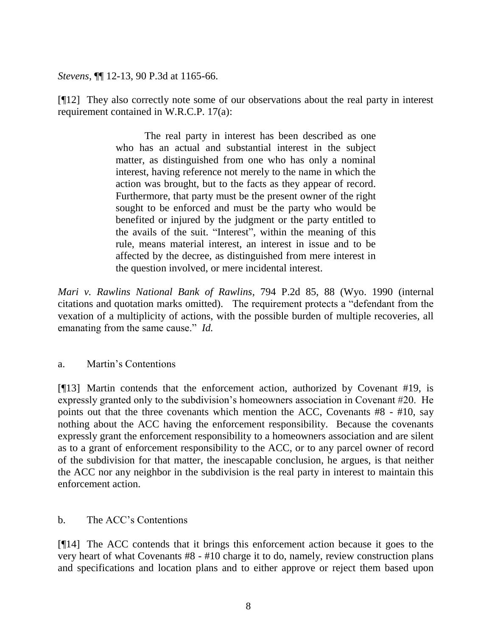*Stevens*, ¶¶ 12-13, 90 P.3d at 1165-66.

[¶12] They also correctly note some of our observations about the real party in interest requirement contained in W.R.C.P. 17(a):

> The real party in interest has been described as one who has an actual and substantial interest in the subject matter, as distinguished from one who has only a nominal interest, having reference not merely to the name in which the action was brought, but to the facts as they appear of record. Furthermore, that party must be the present owner of the right sought to be enforced and must be the party who would be benefited or injured by the judgment or the party entitled to the avails of the suit. "Interest", within the meaning of this rule, means material interest, an interest in issue and to be affected by the decree, as distinguished from mere interest in the question involved, or mere incidental interest.

*Mari v. Rawlins National Bank of Rawlins*, 794 P.2d 85, 88 (Wyo. 1990 (internal citations and quotation marks omitted). The requirement protects a "defendant from the vexation of a multiplicity of actions, with the possible burden of multiple recoveries, all emanating from the same cause." *Id.*

## a. Martin"s Contentions

[¶13] Martin contends that the enforcement action, authorized by Covenant #19, is expressly granted only to the subdivision"s homeowners association in Covenant #20. He points out that the three covenants which mention the ACC, Covenants #8 - #10, say nothing about the ACC having the enforcement responsibility. Because the covenants expressly grant the enforcement responsibility to a homeowners association and are silent as to a grant of enforcement responsibility to the ACC, or to any parcel owner of record of the subdivision for that matter, the inescapable conclusion, he argues, is that neither the ACC nor any neighbor in the subdivision is the real party in interest to maintain this enforcement action.

## b. The ACC"s Contentions

[¶14] The ACC contends that it brings this enforcement action because it goes to the very heart of what Covenants #8 - #10 charge it to do, namely, review construction plans and specifications and location plans and to either approve or reject them based upon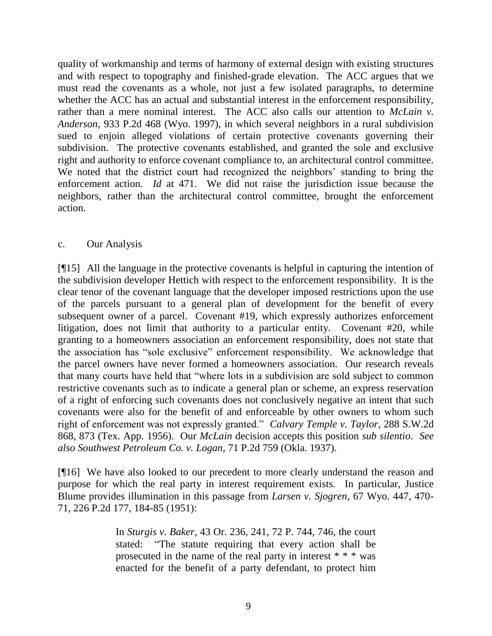quality of workmanship and terms of harmony of external design with existing structures and with respect to topography and finished-grade elevation. The ACC argues that we must read the covenants as a whole, not just a few isolated paragraphs, to determine whether the ACC has an actual and substantial interest in the enforcement responsibility, rather than a mere nominal interest. The ACC also calls our attention to *McLain v. Anderson*, 933 P.2d 468 (Wyo. 1997), in which several neighbors in a rural subdivision sued to enjoin alleged violations of certain protective covenants governing their subdivision. The protective covenants established, and granted the sole and exclusive right and authority to enforce covenant compliance to, an architectural control committee. We noted that the district court had recognized the neighbors' standing to bring the enforcement action. *Id* at 471. We did not raise the jurisdiction issue because the neighbors, rather than the architectural control committee, brought the enforcement action.

### c. Our Analysis

[¶15] All the language in the protective covenants is helpful in capturing the intention of the subdivision developer Hettich with respect to the enforcement responsibility. It is the clear tenor of the covenant language that the developer imposed restrictions upon the use of the parcels pursuant to a general plan of development for the benefit of every subsequent owner of a parcel. Covenant #19, which expressly authorizes enforcement litigation, does not limit that authority to a particular entity. Covenant #20, while granting to a homeowners association an enforcement responsibility, does not state that the association has "sole exclusive" enforcement responsibility. We acknowledge that the parcel owners have never formed a homeowners association. Our research reveals that many courts have held that "where lots in a subdivision are sold subject to common restrictive covenants such as to indicate a general plan or scheme, an express reservation of a right of enforcing such covenants does not conclusively negative an intent that such covenants were also for the benefit of and enforceable by other owners to whom such right of enforcement was not expressly granted." *Calvary Temple v. Taylor*, 288 S.W.2d 868, 873 (Tex. App. 1956). Our *McLain* decision accepts this position *sub silentio*. *See also Southwest Petroleum Co. v. Logan*, 71 P.2d 759 (Okla. 1937).

[¶16] We have also looked to our precedent to more clearly understand the reason and purpose for which the real party in interest requirement exists. In particular, Justice Blume provides illumination in this passage from *Larsen v. Sjogren*, 67 Wyo. 447, 470- 71, 226 P.2d 177, 184-85 (1951):

> In *Sturgis v. Baker*, 43 Or. 236, 241, 72 P. 744, 746, the court stated: "The statute requiring that every action shall be prosecuted in the name of the real party in interest \* \* \* was enacted for the benefit of a party defendant, to protect him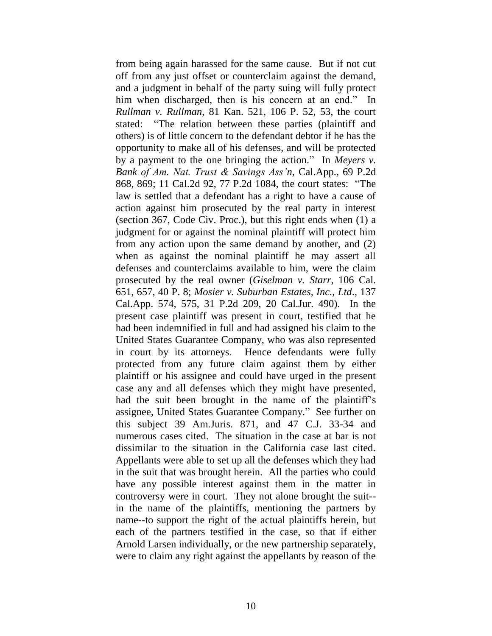from being again harassed for the same cause. But if not cut off from any just offset or counterclaim against the demand, and a judgment in behalf of the party suing will fully protect him when discharged, then is his concern at an end." In *Rullman v. Rullman*, 81 Kan. 521, 106 P. 52, 53, the court stated: "The relation between these parties (plaintiff and others) is of little concern to the defendant debtor if he has the opportunity to make all of his defenses, and will be protected by a payment to the one bringing the action." In *Meyers v. Bank of Am. Nat. Trust & Savings Ass'n*, Cal.App., 69 P.2d 868, 869; 11 Cal.2d 92, 77 P.2d 1084, the court states: "The law is settled that a defendant has a right to have a cause of action against him prosecuted by the real party in interest (section 367, Code Civ. Proc.), but this right ends when (1) a judgment for or against the nominal plaintiff will protect him from any action upon the same demand by another, and (2) when as against the nominal plaintiff he may assert all defenses and counterclaims available to him, were the claim prosecuted by the real owner (*Giselman v. Starr*, 106 Cal. 651, 657, 40 P. 8; *Mosier v. Suburban Estates, Inc., Ltd*., 137 Cal.App. 574, 575, 31 P.2d 209, 20 Cal.Jur. 490). In the present case plaintiff was present in court, testified that he had been indemnified in full and had assigned his claim to the United States Guarantee Company, who was also represented in court by its attorneys. Hence defendants were fully protected from any future claim against them by either plaintiff or his assignee and could have urged in the present case any and all defenses which they might have presented, had the suit been brought in the name of the plaintiff's assignee, United States Guarantee Company." See further on this subject 39 Am.Juris. 871, and 47 C.J. 33-34 and numerous cases cited. The situation in the case at bar is not dissimilar to the situation in the California case last cited. Appellants were able to set up all the defenses which they had in the suit that was brought herein. All the parties who could have any possible interest against them in the matter in controversy were in court. They not alone brought the suit- in the name of the plaintiffs, mentioning the partners by name--to support the right of the actual plaintiffs herein, but each of the partners testified in the case, so that if either Arnold Larsen individually, or the new partnership separately, were to claim any right against the appellants by reason of the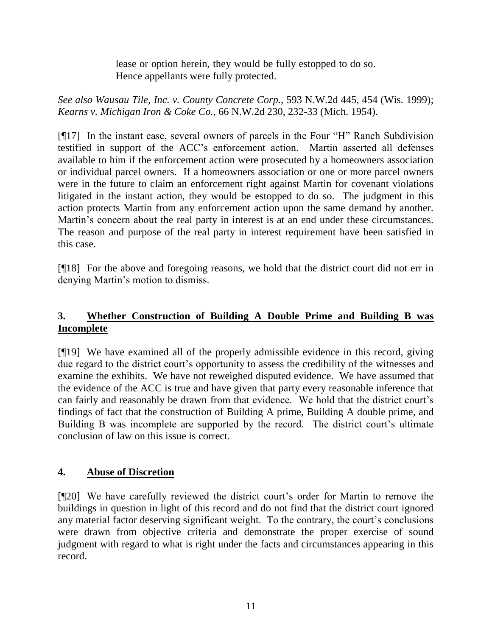lease or option herein, they would be fully estopped to do so. Hence appellants were fully protected.

*See also Wausau Tile, Inc. v. County Concrete Corp.,* 593 N.W.2d 445, 454 (Wis. 1999); *Kearns v. Michigan Iron & Coke Co.*, 66 N.W.2d 230, 232-33 (Mich. 1954).

[¶17] In the instant case, several owners of parcels in the Four "H" Ranch Subdivision testified in support of the ACC"s enforcement action. Martin asserted all defenses available to him if the enforcement action were prosecuted by a homeowners association or individual parcel owners. If a homeowners association or one or more parcel owners were in the future to claim an enforcement right against Martin for covenant violations litigated in the instant action, they would be estopped to do so. The judgment in this action protects Martin from any enforcement action upon the same demand by another. Martin's concern about the real party in interest is at an end under these circumstances. The reason and purpose of the real party in interest requirement have been satisfied in this case.

[¶18] For the above and foregoing reasons, we hold that the district court did not err in denying Martin"s motion to dismiss.

# **3. Whether Construction of Building A Double Prime and Building B was Incomplete**

[¶19] We have examined all of the properly admissible evidence in this record, giving due regard to the district court's opportunity to assess the credibility of the witnesses and examine the exhibits. We have not reweighed disputed evidence. We have assumed that the evidence of the ACC is true and have given that party every reasonable inference that can fairly and reasonably be drawn from that evidence. We hold that the district court's findings of fact that the construction of Building A prime, Building A double prime, and Building B was incomplete are supported by the record. The district court's ultimate conclusion of law on this issue is correct.

# **4. Abuse of Discretion**

[¶20] We have carefully reviewed the district court's order for Martin to remove the buildings in question in light of this record and do not find that the district court ignored any material factor deserving significant weight. To the contrary, the court's conclusions were drawn from objective criteria and demonstrate the proper exercise of sound judgment with regard to what is right under the facts and circumstances appearing in this record.